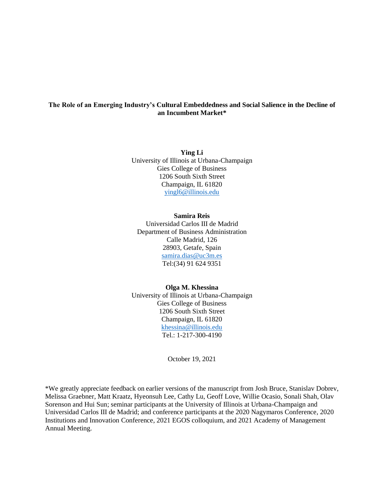# **The Role of an Emerging Industry's Cultural Embeddedness and Social Salience in the Decline of an Incumbent Market\***

**Ying Li** University of Illinois at Urbana-Champaign Gies College of Business 1206 South Sixth Street Champaign, IL 61820 [yingl6@illinois.edu](mailto:yingl6@illinois.edu)

# **Samira Reis**

Universidad Carlos III de Madrid Department of Business Administration Calle Madrid, 126 28903, Getafe, Spain [samira.dias@uc3m.es](mailto:samira.dias@uc3m.es) [Tel:\(34\)](Tel:(34)) 91 624 9351

### **Olga M. Khessina**

University of Illinois at Urbana-Champaign Gies College of Business 1206 South Sixth Street Champaign, IL 61820 [khessina@illinois.edu](mailto:khessina@illinois.edu) Tel.: 1-217-300-4190

October 19, 2021

\*We greatly appreciate feedback on earlier versions of the manuscript from Josh Bruce, Stanislav Dobrev, Melissa Graebner, Matt Kraatz, Hyeonsuh Lee, Cathy Lu, Geoff Love, Willie Ocasio, Sonali Shah, Olav Sorenson and Hui Sun; seminar participants at the University of Illinois at Urbana-Champaign and Universidad Carlos III de Madrid; and conference participants at the 2020 Nagymaros Conference, 2020 Institutions and Innovation Conference, 2021 EGOS colloquium, and 2021 Academy of Management Annual Meeting.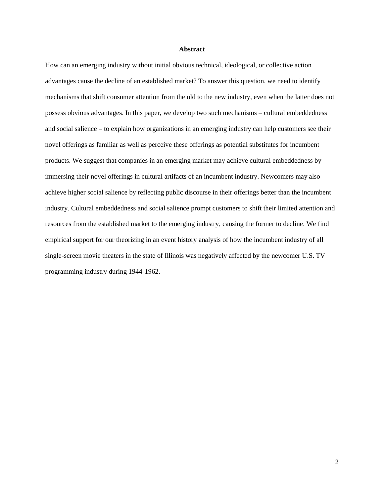### **Abstract**

How can an emerging industry without initial obvious technical, ideological, or collective action advantages cause the decline of an established market? To answer this question, we need to identify mechanisms that shift consumer attention from the old to the new industry, even when the latter does not possess obvious advantages. In this paper, we develop two such mechanisms – cultural embeddedness and social salience – to explain how organizations in an emerging industry can help customers see their novel offerings as familiar as well as perceive these offerings as potential substitutes for incumbent products. We suggest that companies in an emerging market may achieve cultural embeddedness by immersing their novel offerings in cultural artifacts of an incumbent industry. Newcomers may also achieve higher social salience by reflecting public discourse in their offerings better than the incumbent industry. Cultural embeddedness and social salience prompt customers to shift their limited attention and resources from the established market to the emerging industry, causing the former to decline. We find empirical support for our theorizing in an event history analysis of how the incumbent industry of all single-screen movie theaters in the state of Illinois was negatively affected by the newcomer U.S. TV programming industry during 1944-1962.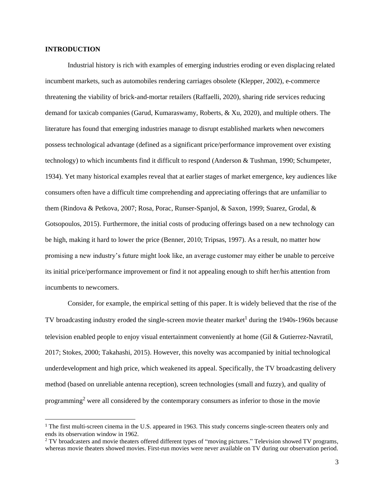# **INTRODUCTION**

Industrial history is rich with examples of emerging industries eroding or even displacing related incumbent markets, such as automobiles rendering carriages obsolete (Klepper, 2002), e-commerce threatening the viability of brick-and-mortar retailers (Raffaelli, 2020), sharing ride services reducing demand for taxicab companies (Garud, Kumaraswamy, Roberts, & Xu, 2020), and multiple others. The literature has found that emerging industries manage to disrupt established markets when newcomers possess technological advantage (defined as a significant price/performance improvement over existing technology) to which incumbents find it difficult to respond (Anderson & Tushman, 1990; Schumpeter, 1934). Yet many historical examples reveal that at earlier stages of market emergence, key audiences like consumers often have a difficult time comprehending and appreciating offerings that are unfamiliar to them (Rindova & Petkova, 2007; Rosa, Porac, Runser-Spanjol, & Saxon, 1999; Suarez, Grodal, & Gotsopoulos, 2015). Furthermore, the initial costs of producing offerings based on a new technology can be high, making it hard to lower the price (Benner, 2010; Tripsas, 1997). As a result, no matter how promising a new industry's future might look like, an average customer may either be unable to perceive its initial price/performance improvement or find it not appealing enough to shift her/his attention from incumbents to newcomers.

Consider, for example, the empirical setting of this paper. It is widely believed that the rise of the TV broadcasting industry eroded the single-screen movie theater market<sup>1</sup> during the  $1940s-1960s$  because television enabled people to enjoy visual entertainment conveniently at home (Gil & Gutierrez-Navratil, 2017; Stokes, 2000; Takahashi, 2015). However, this novelty was accompanied by initial technological underdevelopment and high price, which weakened its appeal. Specifically, the TV broadcasting delivery method (based on unreliable antenna reception), screen technologies (small and fuzzy), and quality of programming<sup>2</sup> were all considered by the contemporary consumers as inferior to those in the movie

<sup>1</sup> The first multi-screen cinema in the U.S. appeared in 1963. This study concerns single-screen theaters only and ends its observation window in 1962.

<sup>&</sup>lt;sup>2</sup> TV broadcasters and movie theaters offered different types of "moving pictures." Television showed TV programs, whereas movie theaters showed movies. First-run movies were never available on TV during our observation period.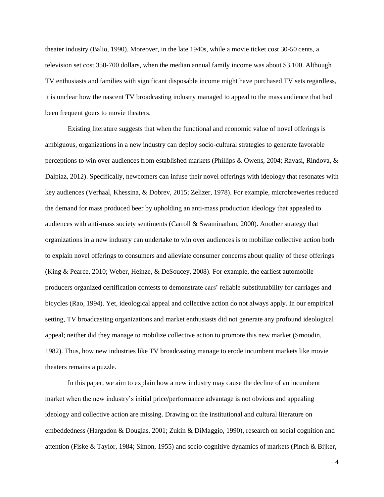theater industry (Balio, 1990). Moreover, in the late 1940s, while a movie ticket cost 30-50 cents, a television set cost 350-700 dollars, when the median annual family income was about \$3,100. Although TV enthusiasts and families with significant disposable income might have purchased TV sets regardless, it is unclear how the nascent TV broadcasting industry managed to appeal to the mass audience that had been frequent goers to movie theaters.

Existing literature suggests that when the functional and economic value of novel offerings is ambiguous, organizations in a new industry can deploy socio-cultural strategies to generate favorable perceptions to win over audiences from established markets (Phillips & Owens, 2004; Ravasi, Rindova, & Dalpiaz, 2012). Specifically, newcomers can infuse their novel offerings with ideology that resonates with key audiences (Verhaal, Khessina, & Dobrev, 2015; Zelizer, 1978). For example, microbreweries reduced the demand for mass produced beer by upholding an anti-mass production ideology that appealed to audiences with anti-mass society sentiments (Carroll & Swaminathan, 2000). Another strategy that organizations in a new industry can undertake to win over audiences is to mobilize collective action both to explain novel offerings to consumers and alleviate consumer concerns about quality of these offerings (King & Pearce, 2010; Weber, Heinze, & DeSoucey, 2008). For example, the earliest automobile producers organized certification contests to demonstrate cars' reliable substitutability for carriages and bicycles (Rao, 1994). Yet, ideological appeal and collective action do not always apply. In our empirical setting, TV broadcasting organizations and market enthusiasts did not generate any profound ideological appeal; neither did they manage to mobilize collective action to promote this new market (Smoodin, 1982). Thus, how new industries like TV broadcasting manage to erode incumbent markets like movie theaters remains a puzzle.

In this paper, we aim to explain how a new industry may cause the decline of an incumbent market when the new industry's initial price/performance advantage is not obvious and appealing ideology and collective action are missing. Drawing on the institutional and cultural literature on embeddedness (Hargadon & Douglas, 2001; Zukin & DiMaggio, 1990), research on social cognition and attention (Fiske & Taylor, 1984; Simon, 1955) and socio-cognitive dynamics of markets (Pinch & Bijker,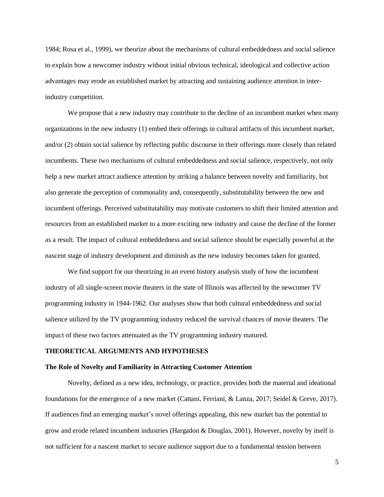1984; Rosa et al., 1999), we theorize about the mechanisms of cultural embeddedness and social salience to explain how a newcomer industry without initial obvious technical, ideological and collective action advantages may erode an established market by attracting and sustaining audience attention in interindustry competition.

We propose that a new industry may contribute to the decline of an incumbent market when many organizations in the new industry (1) embed their offerings in cultural artifacts of this incumbent market, and/or (2) obtain social salience by reflecting public discourse in their offerings more closely than related incumbents. These two mechanisms of cultural embeddedness and social salience, respectively, not only help a new market attract audience attention by striking a balance between novelty and familiarity, but also generate the perception of commonality and, consequently, substitutability between the new and incumbent offerings. Perceived substitutability may motivate customers to shift their limited attention and resources from an established market to a more exciting new industry and cause the decline of the former as a result. The impact of cultural embeddedness and social salience should be especially powerful at the nascent stage of industry development and diminish as the new industry becomes taken for granted.

We find support for our theorizing in an event history analysis study of how the incumbent industry of all single-screen movie theaters in the state of Illinois was affected by the newcomer TV programming industry in 1944-1962. Our analyses show that both cultural embeddedness and social salience utilized by the TV programming industry reduced the survival chances of movie theaters. The impact of these two factors attenuated as the TV programming industry matured.

#### **THEORETICAL ARGUMENTS AND HYPOTHESES**

#### **The Role of Novelty and Familiarity in Attracting Customer Attention**

Novelty, defined as a new idea, technology, or practice, provides both the material and ideational foundations for the emergence of a new market (Cattani, Ferriani, & Lanza, 2017; Seidel & Greve, 2017). If audiences find an emerging market's novel offerings appealing, this new market has the potential to grow and erode related incumbent industries (Hargadon & Douglas, 2001). However, novelty by itself is not sufficient for a nascent market to secure audience support due to a fundamental tension between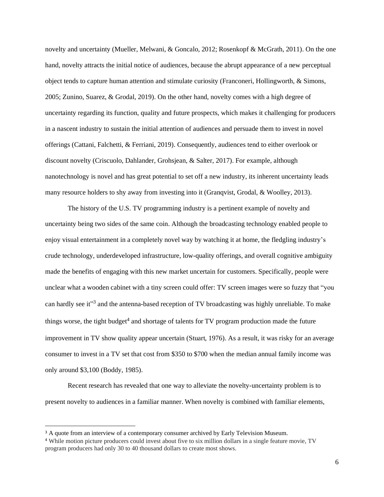novelty and uncertainty (Mueller, Melwani, & Goncalo, 2012; Rosenkopf & McGrath, 2011). On the one hand, novelty attracts the initial notice of audiences, because the abrupt appearance of a new perceptual object tends to capture human attention and stimulate curiosity (Franconeri, Hollingworth, & Simons, 2005; Zunino, Suarez, & Grodal, 2019). On the other hand, novelty comes with a high degree of uncertainty regarding its function, quality and future prospects, which makes it challenging for producers in a nascent industry to sustain the initial attention of audiences and persuade them to invest in novel offerings (Cattani, Falchetti, & Ferriani, 2019). Consequently, audiences tend to either overlook or discount novelty (Criscuolo, Dahlander, Grohsjean, & Salter, 2017). For example, although nanotechnology is novel and has great potential to set off a new industry, its inherent uncertainty leads many resource holders to shy away from investing into it (Granqvist, Grodal, & Woolley, 2013).

The history of the U.S. TV programming industry is a pertinent example of novelty and uncertainty being two sides of the same coin. Although the broadcasting technology enabled people to enjoy visual entertainment in a completely novel way by watching it at home, the fledgling industry's crude technology, underdeveloped infrastructure, low-quality offerings, and overall cognitive ambiguity made the benefits of engaging with this new market uncertain for customers. Specifically, people were unclear what a wooden cabinet with a tiny screen could offer: TV screen images were so fuzzy that "you can hardly see it<sup>33</sup> and the antenna-based reception of TV broadcasting was highly unreliable. To make things worse, the tight budget<sup>4</sup> and shortage of talents for TV program production made the future improvement in TV show quality appear uncertain (Stuart, 1976). As a result, it was risky for an average consumer to invest in a TV set that cost from \$350 to \$700 when the median annual family income was only around \$3,100 (Boddy, 1985).

Recent research has revealed that one way to alleviate the novelty-uncertainty problem is to present novelty to audiences in a familiar manner. When novelty is combined with familiar elements,

<sup>&</sup>lt;sup>3</sup> A quote from an interview of a contemporary consumer archived by Early Television Museum.

<sup>4</sup> While motion picture producers could invest about five to six million dollars in a single feature movie, TV program producers had only 30 to 40 thousand dollars to create most shows.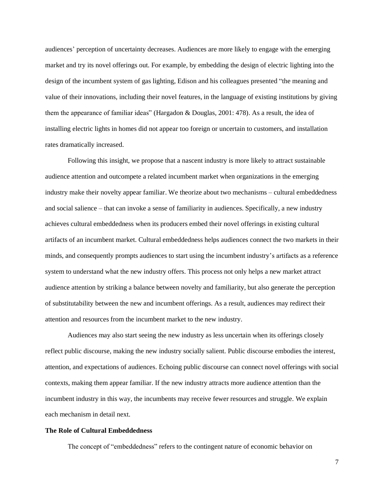audiences' perception of uncertainty decreases. Audiences are more likely to engage with the emerging market and try its novel offerings out. For example, by embedding the design of electric lighting into the design of the incumbent system of gas lighting, Edison and his colleagues presented "the meaning and value of their innovations, including their novel features, in the language of existing institutions by giving them the appearance of familiar ideas" (Hargadon & Douglas, 2001: 478). As a result, the idea of installing electric lights in homes did not appear too foreign or uncertain to customers, and installation rates dramatically increased.

Following this insight, we propose that a nascent industry is more likely to attract sustainable audience attention and outcompete a related incumbent market when organizations in the emerging industry make their novelty appear familiar. We theorize about two mechanisms – cultural embeddedness and social salience – that can invoke a sense of familiarity in audiences. Specifically, a new industry achieves cultural embeddedness when its producers embed their novel offerings in existing cultural artifacts of an incumbent market. Cultural embeddedness helps audiences connect the two markets in their minds, and consequently prompts audiences to start using the incumbent industry's artifacts as a reference system to understand what the new industry offers. This process not only helps a new market attract audience attention by striking a balance between novelty and familiarity, but also generate the perception of substitutability between the new and incumbent offerings. As a result, audiences may redirect their attention and resources from the incumbent market to the new industry.

Audiences may also start seeing the new industry as less uncertain when its offerings closely reflect public discourse, making the new industry socially salient. Public discourse embodies the interest, attention, and expectations of audiences. Echoing public discourse can connect novel offerings with social contexts, making them appear familiar. If the new industry attracts more audience attention than the incumbent industry in this way, the incumbents may receive fewer resources and struggle. We explain each mechanism in detail next.

## **The Role of Cultural Embeddedness**

The concept of "embeddedness" refers to the contingent nature of economic behavior on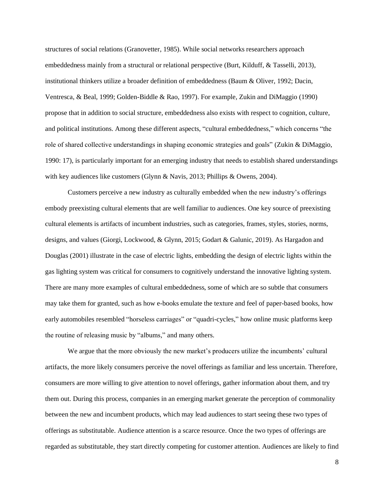structures of social relations (Granovetter, 1985). While social networks researchers approach embeddedness mainly from a structural or relational perspective (Burt, Kilduff, & Tasselli, 2013), institutional thinkers utilize a broader definition of embeddedness (Baum & Oliver, 1992; Dacin, Ventresca, & Beal, 1999; Golden-Biddle & Rao, 1997). For example, Zukin and DiMaggio (1990) propose that in addition to social structure, embeddedness also exists with respect to cognition, culture, and political institutions. Among these different aspects, "cultural embeddedness," which concerns "the role of shared collective understandings in shaping economic strategies and goals" (Zukin & DiMaggio, 1990: 17), is particularly important for an emerging industry that needs to establish shared understandings with key audiences like customers (Glynn & Navis, 2013; Phillips & Owens, 2004).

Customers perceive a new industry as culturally embedded when the new industry's offerings embody preexisting cultural elements that are well familiar to audiences. One key source of preexisting cultural elements is artifacts of incumbent industries, such as categories, frames, styles, stories, norms, designs, and values (Giorgi, Lockwood, & Glynn, 2015; Godart & Galunic, 2019). As Hargadon and Douglas (2001) illustrate in the case of electric lights, embedding the design of electric lights within the gas lighting system was critical for consumers to cognitively understand the innovative lighting system. There are many more examples of cultural embeddedness, some of which are so subtle that consumers may take them for granted, such as how e-books emulate the texture and feel of paper-based books, how early automobiles resembled "horseless carriages" or "quadri-cycles," how online music platforms keep the routine of releasing music by "albums," and many others.

We argue that the more obviously the new market's producers utilize the incumbents' cultural artifacts, the more likely consumers perceive the novel offerings as familiar and less uncertain. Therefore, consumers are more willing to give attention to novel offerings, gather information about them, and try them out. During this process, companies in an emerging market generate the perception of commonality between the new and incumbent products, which may lead audiences to start seeing these two types of offerings as substitutable. Audience attention is a scarce resource. Once the two types of offerings are regarded as substitutable, they start directly competing for customer attention. Audiences are likely to find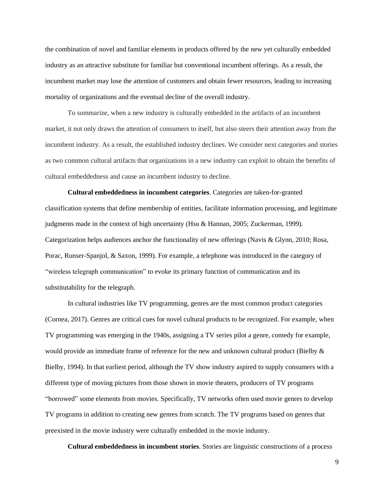the combination of novel and familiar elements in products offered by the new yet culturally embedded industry as an attractive substitute for familiar but conventional incumbent offerings. As a result, the incumbent market may lose the attention of customers and obtain fewer resources, leading to increasing mortality of organizations and the eventual decline of the overall industry.

To summarize, when a new industry is culturally embedded in the artifacts of an incumbent market, it not only draws the attention of consumers to itself, but also steers their attention away from the incumbent industry. As a result, the established industry declines. We consider next categories and stories as two common cultural artifacts that organizations in a new industry can exploit to obtain the benefits of cultural embeddedness and cause an incumbent industry to decline.

**Cultural embeddedness in incumbent categories**. Categories are taken-for-granted classification systems that define membership of entities, facilitate information processing, and legitimate judgments made in the context of high uncertainty (Hsu & Hannan, 2005; Zuckerman, 1999). Categorization helps audiences anchor the functionality of new offerings (Navis & Glynn, 2010; Rosa, Porac, Runser-Spanjol, & Saxon, 1999). For example, a telephone was introduced in the category of "wireless telegraph communication" to evoke its primary function of communication and its substitutability for the telegraph.

In cultural industries like TV programming, genres are the most common product categories (Cornea, 2017). Genres are critical cues for novel cultural products to be recognized. For example, when TV programming was emerging in the 1940s, assigning a TV series pilot a genre, comedy for example, would provide an immediate frame of reference for the new and unknown cultural product (Bielby & Bielby, 1994). In that earliest period, although the TV show industry aspired to supply consumers with a different type of moving pictures from those shown in movie theaters, producers of TV programs "borrowed" some elements from movies. Specifically, TV networks often used movie genres to develop TV programs in addition to creating new genres from scratch. The TV programs based on genres that preexisted in the movie industry were culturally embedded in the movie industry.

**Cultural embeddedness in incumbent stories**. Stories are linguistic constructions of a process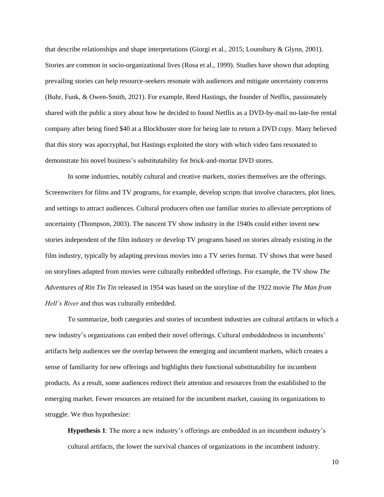that describe relationships and shape interpretations (Giorgi et al., 2015; Lounsbury & Glynn, 2001). Stories are common in socio-organizational lives (Rosa et al., 1999). Studies have shown that adopting prevailing stories can help resource-seekers resonate with audiences and mitigate uncertainty concerns (Buhr, Funk, & Owen-Smith, 2021). For example, Reed Hastings, the founder of Netflix, passionately shared with the public a story about how he decided to found Netflix as a DVD-by-mail no-late-fee rental company after being fined \$40 at a Blockbuster store for being late to return a DVD copy. Many believed that this story was apocryphal, but Hastings exploited the story with which video fans resonated to demonstrate his novel business's substitutability for brick-and-mortar DVD stores.

In some industries, notably cultural and creative markets, stories themselves are the offerings. Screenwriters for films and TV programs, for example, develop scripts that involve characters, plot lines, and settings to attract audiences. Cultural producers often use familiar stories to alleviate perceptions of uncertainty (Thompson, 2003). The nascent TV show industry in the 1940s could either invent new stories independent of the film industry or develop TV programs based on stories already existing in the film industry, typically by adapting previous movies into a TV series format. TV shows that were based on storylines adapted from movies were culturally embedded offerings. For example, the TV show *The Adventures of Rin Tin Tin* released in 1954 was based on the storyline of the 1922 movie *The Man from Hell's River* and thus was culturally embedded.

To summarize, both categories and stories of incumbent industries are cultural artifacts in which a new industry's organizations can embed their novel offerings. Cultural embeddedness in incumbents' artifacts help audiences see the overlap between the emerging and incumbent markets, which creates a sense of familiarity for new offerings and highlights their functional substitutability for incumbent products. As a result, some audiences redirect their attention and resources from the established to the emerging market. Fewer resources are retained for the incumbent market, causing its organizations to struggle. We thus hypothesize:

**Hypothesis 1**: The more a new industry's offerings are embedded in an incumbent industry's cultural artifacts, the lower the survival chances of organizations in the incumbent industry.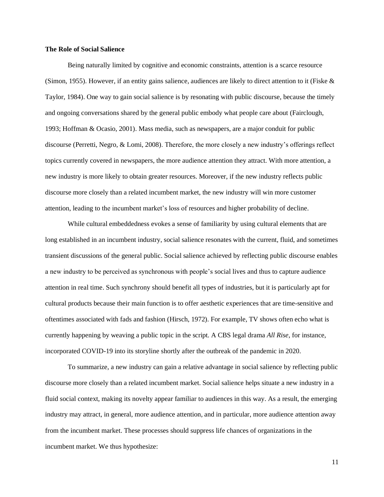## **The Role of Social Salience**

Being naturally limited by cognitive and economic constraints, attention is a scarce resource (Simon, 1955). However, if an entity gains salience, audiences are likely to direct attention to it (Fiske & Taylor, 1984). One way to gain social salience is by resonating with public discourse, because the timely and ongoing conversations shared by the general public embody what people care about (Fairclough, 1993; Hoffman & Ocasio, 2001). Mass media, such as newspapers, are a major conduit for public discourse (Perretti, Negro, & Lomi, 2008). Therefore, the more closely a new industry's offerings reflect topics currently covered in newspapers, the more audience attention they attract. With more attention, a new industry is more likely to obtain greater resources. Moreover, if the new industry reflects public discourse more closely than a related incumbent market, the new industry will win more customer attention, leading to the incumbent market's loss of resources and higher probability of decline.

While cultural embeddedness evokes a sense of familiarity by using cultural elements that are long established in an incumbent industry, social salience resonates with the current, fluid, and sometimes transient discussions of the general public. Social salience achieved by reflecting public discourse enables a new industry to be perceived as synchronous with people's social lives and thus to capture audience attention in real time. Such synchrony should benefit all types of industries, but it is particularly apt for cultural products because their main function is to offer aesthetic experiences that are time-sensitive and oftentimes associated with fads and fashion (Hirsch, 1972). For example, TV shows often echo what is currently happening by weaving a public topic in the script. A CBS legal drama *All Rise*, for instance, incorporated COVID-19 into its storyline shortly after the outbreak of the pandemic in 2020.

To summarize, a new industry can gain a relative advantage in social salience by reflecting public discourse more closely than a related incumbent market. Social salience helps situate a new industry in a fluid social context, making its novelty appear familiar to audiences in this way. As a result, the emerging industry may attract, in general, more audience attention, and in particular, more audience attention away from the incumbent market. These processes should suppress life chances of organizations in the incumbent market. We thus hypothesize: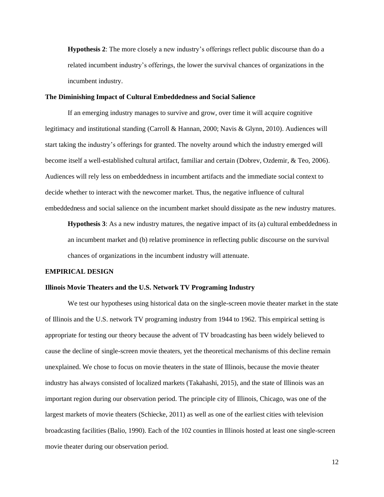**Hypothesis 2**: The more closely a new industry's offerings reflect public discourse than do a related incumbent industry's offerings, the lower the survival chances of organizations in the incumbent industry.

# **The Diminishing Impact of Cultural Embeddedness and Social Salience**

If an emerging industry manages to survive and grow, over time it will acquire cognitive legitimacy and institutional standing (Carroll & Hannan, 2000; Navis & Glynn, 2010). Audiences will start taking the industry's offerings for granted. The novelty around which the industry emerged will become itself a well-established cultural artifact, familiar and certain (Dobrev, Ozdemir, & Teo, 2006). Audiences will rely less on embeddedness in incumbent artifacts and the immediate social context to decide whether to interact with the newcomer market. Thus, the negative influence of cultural embeddedness and social salience on the incumbent market should dissipate as the new industry matures.

**Hypothesis 3**: As a new industry matures, the negative impact of its (a) cultural embeddedness in an incumbent market and (b) relative prominence in reflecting public discourse on the survival chances of organizations in the incumbent industry will attenuate.

### **EMPIRICAL DESIGN**

### **Illinois Movie Theaters and the U.S. Network TV Programing Industry**

We test our hypotheses using historical data on the single-screen movie theater market in the state of Illinois and the U.S. network TV programing industry from 1944 to 1962. This empirical setting is appropriate for testing our theory because the advent of TV broadcasting has been widely believed to cause the decline of single-screen movie theaters, yet the theoretical mechanisms of this decline remain unexplained. We chose to focus on movie theaters in the state of Illinois, because the movie theater industry has always consisted of localized markets (Takahashi, 2015), and the state of Illinois was an important region during our observation period. The principle city of Illinois, Chicago, was one of the largest markets of movie theaters (Schiecke, 2011) as well as one of the earliest cities with television broadcasting facilities (Balio, 1990). Each of the 102 counties in Illinois hosted at least one single-screen movie theater during our observation period.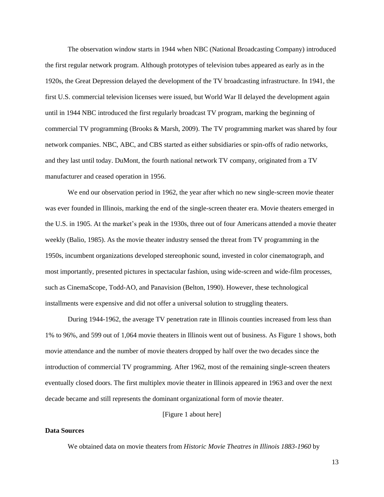The observation window starts in 1944 when NBC (National Broadcasting Company) introduced the first regular network program. Although prototypes of television tubes appeared as early as in the 1920s, the Great Depression delayed the development of the TV broadcasting infrastructure. In 1941, the first U.S. commercial television licenses were issued, but World War II delayed the development again until in 1944 NBC introduced the first regularly broadcast TV program, marking the beginning of commercial TV programming (Brooks & Marsh, 2009). The TV programming market was shared by four network companies. NBC, ABC, and CBS started as either subsidiaries or spin-offs of radio networks, and they last until today. DuMont, the fourth national network TV company, originated from a TV manufacturer and ceased operation in 1956.

We end our observation period in 1962, the year after which no new single-screen movie theater was ever founded in Illinois, marking the end of the single-screen theater era. Movie theaters emerged in the U.S. in 1905. At the market's peak in the 1930s, three out of four Americans attended a movie theater weekly (Balio, 1985). As the movie theater industry sensed the threat from TV programming in the 1950s, incumbent organizations developed stereophonic sound, invested in color cinematograph, and most importantly, presented pictures in spectacular fashion, using wide-screen and wide-film processes, such as CinemaScope, Todd-AO, and Panavision (Belton, 1990). However, these technological installments were expensive and did not offer a universal solution to struggling theaters.

During 1944-1962, the average TV penetration rate in Illinois counties increased from less than 1% to 96%, and 599 out of 1,064 movie theaters in Illinois went out of business. As Figure 1 shows, both movie attendance and the number of movie theaters dropped by half over the two decades since the introduction of commercial TV programming. After 1962, most of the remaining single-screen theaters eventually closed doors. The first multiplex movie theater in Illinois appeared in 1963 and over the next decade became and still represents the dominant organizational form of movie theater.

[Figure 1 about here]

#### **Data Sources**

We obtained data on movie theaters from *Historic Movie Theatres in Illinois 1883-1960* by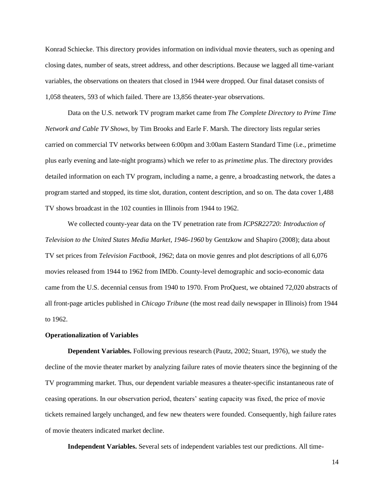Konrad Schiecke. This directory provides information on individual movie theaters, such as opening and closing dates, number of seats, street address, and other descriptions. Because we lagged all time-variant variables, the observations on theaters that closed in 1944 were dropped. Our final dataset consists of 1,058 theaters, 593 of which failed. There are 13,856 theater-year observations.

Data on the U.S. network TV program market came from *The Complete Directory to Prime Time Network and Cable TV Shows,* by Tim Brooks and Earle F. Marsh. The directory lists regular series carried on commercial TV networks between 6:00pm and 3:00am Eastern Standard Time (i.e., primetime plus early evening and late-night programs) which we refer to as *primetime plus*. The directory provides detailed information on each TV program, including a name, a genre, a broadcasting network, the dates a program started and stopped, its time slot, duration, content description, and so on. The data cover 1,488 TV shows broadcast in the 102 counties in Illinois from 1944 to 1962.

We collected county-year data on the TV penetration rate from *ICPSR22720: Introduction of Television to the United States Media Market, 1946-1960* by Gentzkow and Shapiro (2008); data about TV set prices from *Television Factbook, 1962*; data on movie genres and plot descriptions of all 6,076 movies released from 1944 to 1962 from IMDb. County-level demographic and socio-economic data came from the U.S. decennial census from 1940 to 1970. From ProQuest, we obtained 72,020 abstracts of all front-page articles published in *Chicago Tribune* (the most read daily newspaper in Illinois) from 1944 to 1962.

# **Operationalization of Variables**

**Dependent Variables.** Following previous research (Pautz, 2002; Stuart, 1976), we study the decline of the movie theater market by analyzing failure rates of movie theaters since the beginning of the TV programming market. Thus, our dependent variable measures a theater-specific instantaneous rate of ceasing operations. In our observation period, theaters' seating capacity was fixed, the price of movie tickets remained largely unchanged, and few new theaters were founded. Consequently, high failure rates of movie theaters indicated market decline.

**Independent Variables.** Several sets of independent variables test our predictions. All time-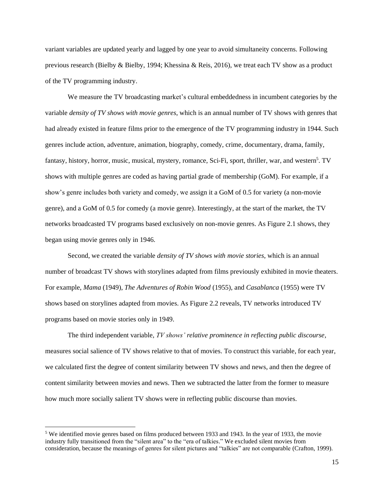variant variables are updated yearly and lagged by one year to avoid simultaneity concerns. Following previous research (Bielby & Bielby, 1994; Khessina & Reis, 2016), we treat each TV show as a product of the TV programming industry.

We measure the TV broadcasting market's cultural embeddedness in incumbent categories by the variable *density of TV shows with movie genres*, which is an annual number of TV shows with genres that had already existed in feature films prior to the emergence of the TV programming industry in 1944. Such genres include action, adventure, animation, biography, comedy, crime, documentary, drama, family, fantasy, history, horror, music, musical, mystery, romance, Sci-Fi, sport, thriller, war, and western<sup>5</sup>. TV shows with multiple genres are coded as having partial grade of membership (GoM). For example, if a show's genre includes both variety and comedy, we assign it a GoM of 0.5 for variety (a non-movie genre), and a GoM of 0.5 for comedy (a movie genre). Interestingly, at the start of the market, the TV networks broadcasted TV programs based exclusively on non-movie genres. As Figure 2.1 shows, they began using movie genres only in 1946.

Second, we created the variable *density of TV shows with movie stories*, which is an annual number of broadcast TV shows with storylines adapted from films previously exhibited in movie theaters. For example, *Mama* (1949), *The Adventures of Robin Wood* (1955), and *Casablanca* (1955) were TV shows based on storylines adapted from movies. As Figure 2.2 reveals, TV networks introduced TV programs based on movie stories only in 1949.

The third independent variable, *TV shows' relative prominence in reflecting public discourse,* measures social salience of TV shows relative to that of movies. To construct this variable, for each year, we calculated first the degree of content similarity between TV shows and news, and then the degree of content similarity between movies and news. Then we subtracted the latter from the former to measure how much more socially salient TV shows were in reflecting public discourse than movies.

<sup>5</sup> We identified movie genres based on films produced between 1933 and 1943. In the year of 1933, the movie industry fully transitioned from the "silent area" to the "era of talkies." We excluded silent movies from consideration, because the meanings of genres for silent pictures and "talkies" are not comparable (Crafton, 1999).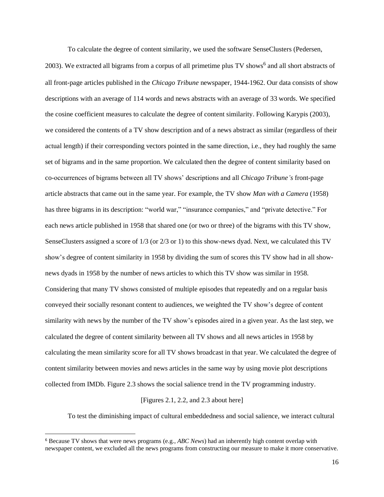To calculate the degree of content similarity, we used the software SenseClusters (Pedersen,

2003). We extracted all bigrams from a corpus of all primetime plus TV shows<sup>6</sup> and all short abstracts of all front-page articles published in the *Chicago Tribune* newspaper, 1944-1962. Our data consists of show descriptions with an average of 114 words and news abstracts with an average of 33 words. We specified the cosine coefficient measures to calculate the degree of content similarity. Following Karypis (2003), we considered the contents of a TV show description and of a news abstract as similar (regardless of their actual length) if their corresponding vectors pointed in the same direction, i.e., they had roughly the same set of bigrams and in the same proportion. We calculated then the degree of content similarity based on co-occurrences of bigrams between all TV shows' descriptions and all *Chicago Tribune's* front-page article abstracts that came out in the same year. For example, the TV show *Man with a Camera* (1958) has three bigrams in its description: "world war," "insurance companies," and "private detective." For each news article published in 1958 that shared one (or two or three) of the bigrams with this TV show, SenseClusters assigned a score of 1/3 (or 2/3 or 1) to this show-news dyad. Next, we calculated this TV show's degree of content similarity in 1958 by dividing the sum of scores this TV show had in all shownews dyads in 1958 by the number of news articles to which this TV show was similar in 1958. Considering that many TV shows consisted of multiple episodes that repeatedly and on a regular basis conveyed their socially resonant content to audiences, we weighted the TV show's degree of content similarity with news by the number of the TV show's episodes aired in a given year. As the last step, we calculated the degree of content similarity between all TV shows and all news articles in 1958 by calculating the mean similarity score for all TV shows broadcast in that year. We calculated the degree of content similarity between movies and news articles in the same way by using movie plot descriptions collected from IMDb. Figure 2.3 shows the social salience trend in the TV programming industry.

# [Figures 2.1, 2.2, and 2.3 about here]

To test the diminishing impact of cultural embeddedness and social salience, we interact cultural

<sup>6</sup> Because TV shows that were news programs (e.g., *ABC News*) had an inherently high content overlap with newspaper content, we excluded all the news programs from constructing our measure to make it more conservative.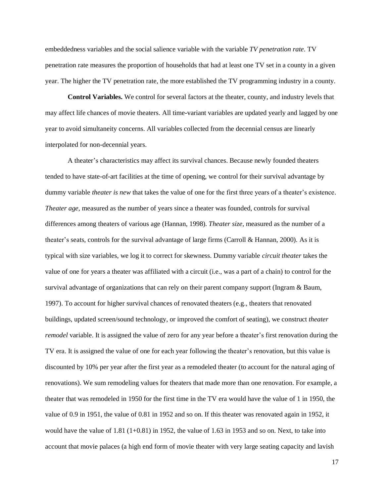embeddedness variables and the social salience variable with the variable *TV penetration rate*. TV penetration rate measures the proportion of households that had at least one TV set in a county in a given year. The higher the TV penetration rate, the more established the TV programming industry in a county.

**Control Variables.** We control for several factors at the theater, county, and industry levels that may affect life chances of movie theaters. All time-variant variables are updated yearly and lagged by one year to avoid simultaneity concerns. All variables collected from the decennial census are linearly interpolated for non-decennial years.

A theater's characteristics may affect its survival chances. Because newly founded theaters tended to have state-of-art facilities at the time of opening, we control for their survival advantage by dummy variable *theater is new* that takes the value of one for the first three years of a theater's existence. *Theater age*, measured as the number of years since a theater was founded, controls for survival differences among theaters of various age (Hannan, 1998). *Theater size,* measured as the number of a theater's seats, controls for the survival advantage of large firms (Carroll & Hannan, 2000). As it is typical with size variables, we log it to correct for skewness. Dummy variable *circuit theater* takes the value of one for years a theater was affiliated with a circuit (i.e., was a part of a chain) to control for the survival advantage of organizations that can rely on their parent company support (Ingram & Baum, 1997). To account for higher survival chances of renovated theaters (e.g., theaters that renovated buildings, updated screen/sound technology, or improved the comfort of seating), we construct *theater remodel* variable. It is assigned the value of zero for any year before a theater's first renovation during the TV era. It is assigned the value of one for each year following the theater's renovation, but this value is discounted by 10% per year after the first year as a remodeled theater (to account for the natural aging of renovations). We sum remodeling values for theaters that made more than one renovation. For example, a theater that was remodeled in 1950 for the first time in the TV era would have the value of 1 in 1950, the value of 0.9 in 1951, the value of 0.81 in 1952 and so on. If this theater was renovated again in 1952, it would have the value of 1.81 (1+0.81) in 1952, the value of 1.63 in 1953 and so on. Next, to take into account that movie palaces (a high end form of movie theater with very large seating capacity and lavish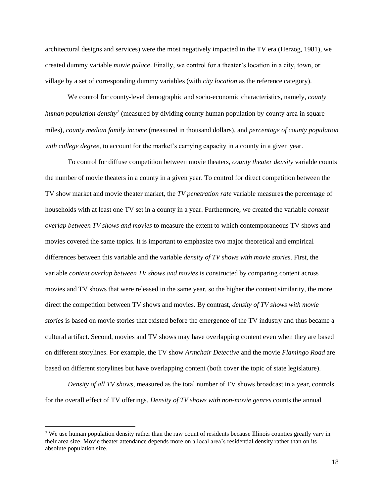architectural designs and services) were the most negatively impacted in the TV era (Herzog, 1981), we created dummy variable *movie palace*. Finally, we control for a theater's location in a city, town, or village by a set of corresponding dummy variables (with *city location* as the reference category).

We control for county-level demographic and socio-economic characteristics, namely, *county*  human population density<sup>7</sup> (measured by dividing county human population by county area in square miles), *county median family income* (measured in thousand dollars), and *percentage of county population with college degree,* to account for the market's carrying capacity in a county in a given year.

To control for diffuse competition between movie theaters, *county theater density* variable counts the number of movie theaters in a county in a given year. To control for direct competition between the TV show market and movie theater market, the *TV penetration rate* variable measures the percentage of households with at least one TV set in a county in a year. Furthermore, we created the variable *content overlap between TV shows and movies* to measure the extent to which contemporaneous TV shows and movies covered the same topics. It is important to emphasize two major theoretical and empirical differences between this variable and the variable *density of TV shows with movie stories*. First, the variable *content overlap between TV shows and movies* is constructed by comparing content across movies and TV shows that were released in the same year, so the higher the content similarity, the more direct the competition between TV shows and movies. By contrast, *density of TV shows with movie stories* is based on movie stories that existed before the emergence of the TV industry and thus became a cultural artifact. Second, movies and TV shows may have overlapping content even when they are based on different storylines. For example, the TV show *Armchair Detective* and the movie *Flamingo Road* are based on different storylines but have overlapping content (both cover the topic of state legislature).

*Density of all TV shows*, measured as the total number of TV shows broadcast in a year, controls for the overall effect of TV offerings. *Density of TV shows with non-movie genres* counts the annual

<sup>&</sup>lt;sup>7</sup> We use human population density rather than the raw count of residents because Illinois counties greatly vary in their area size. Movie theater attendance depends more on a local area's residential density rather than on its absolute population size.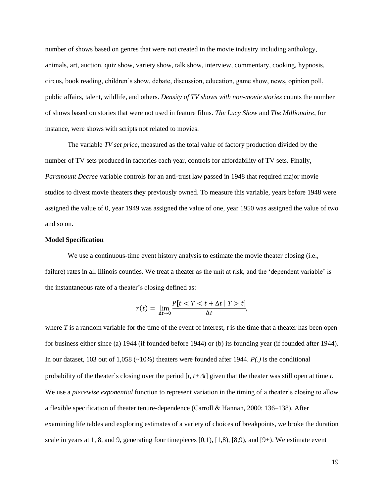number of shows based on genres that were not created in the movie industry including anthology, animals, art, auction, quiz show, variety show, talk show, interview, commentary, cooking, hypnosis, circus, book reading, children's show, debate, discussion, education, game show, news, opinion poll, public affairs, talent, wildlife, and others. *Density of TV shows with non-movie stories* counts the number of shows based on stories that were not used in feature films. *The Lucy Show* and *The Millionaire*, for instance, were shows with scripts not related to movies.

The variable *TV set price,* measured as the total value of factory production divided by the number of TV sets produced in factories each year, controls for affordability of TV sets. Finally, *Paramount Decree* variable controls for an anti-trust law passed in 1948 that required major movie studios to divest movie theaters they previously owned. To measure this variable, years before 1948 were assigned the value of 0, year 1949 was assigned the value of one, year 1950 was assigned the value of two and so on.

## **Model Specification**

We use a continuous-time event history analysis to estimate the movie theater closing (i.e., failure) rates in all Illinois counties. We treat a theater as the unit at risk, and the 'dependent variable' is the instantaneous rate of a theater's closing defined as:

$$
r(t) = \lim_{\Delta t \to 0} \frac{P[t < T < t + \Delta t \mid T > t]}{\Delta t},
$$

where *T* is a random variable for the time of the event of interest, *t* is the time that a theater has been open for business either since (a) 1944 (if founded before 1944) or (b) its founding year (if founded after 1944). In our dataset, 103 out of 1,058 (~10%) theaters were founded after 1944. *P(.)* is the conditional probability of the theater's closing over the period [*t, t+t*] given that the theater was still open at time *t*. We use a *piecewise exponential* function to represent variation in the timing of a theater's closing to allow a flexible specification of theater tenure-dependence (Carroll & Hannan, 2000: 136–138). After examining life tables and exploring estimates of a variety of choices of breakpoints, we broke the duration scale in years at 1, 8, and 9, generating four timepieces  $[0,1)$ ,  $[1,8)$ ,  $[8,9)$ , and  $[9+]$ . We estimate event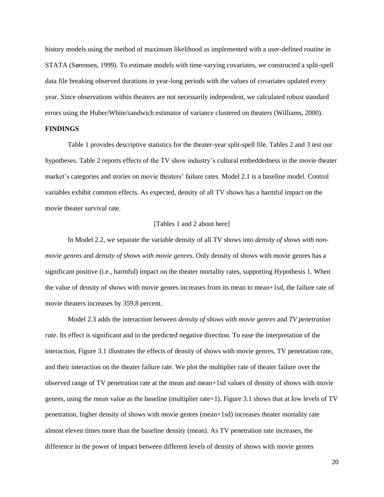history models using the method of maximum likelihood as implemented with a user-defined routine in STATA (Sørensen, 1999). To estimate models with time-varying covariates, we constructed a split-spell data file breaking observed durations in year-long periods with the values of covariates updated every year. Since observations within theaters are not necessarily independent, we calculated robust standard errors using the Huber/White/sandwich estimator of variance clustered on theaters (Williams, 2000).

# **FINDINGS**

Table 1 provides descriptive statistics for the theater-year split-spell file. Tables 2 and 3 test our hypotheses. Table 2 reports effects of the TV show industry's cultural embeddedness in the movie theater market's categories and stories on movie theaters' failure rates. Model 2.1 is a baseline model. Control variables exhibit common effects. As expected, density of all TV shows has a harmful impact on the movie theater survival rate.

# [Tables 1 and 2 about here]

In Model 2.2, we separate the variable density of all TV shows into *density of shows with nonmovie genres* and *density of shows with movie genres*. Only density of shows with movie genres has a significant positive (i.e., harmful) impact on the theater mortality rates, supporting Hypothesis 1. When the value of density of shows with movie genres increases from its mean to mean+1sd, the failure rate of movie theaters increases by 359.8 percent.

Model 2.3 adds the interaction between *density of shows with movie genres* and *TV penetration rate*. Its effect is significant and in the predicted negative direction. To ease the interpretation of the interaction, Figure 3.1 illustrates the effects of density of shows with movie genres, TV penetration rate, and their interaction on the theater failure rate. We plot the multiplier rate of theater failure over the observed range of TV penetration rate at the mean and mean+1sd values of density of shows with movie genres, using the mean value as the baseline (multiplier rate=1). Figure 3.1 shows that at low levels of TV penetration, higher density of shows with movie genres (mean+1sd) increases theater mortality rate almost eleven times more than the baseline density (mean). As TV penetration rate increases, the difference in the power of impact between different levels of density of shows with movie genres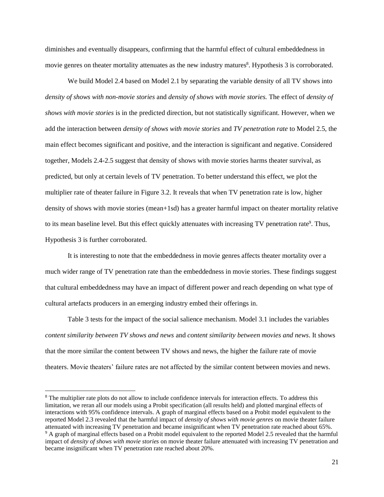diminishes and eventually disappears, confirming that the harmful effect of cultural embeddedness in movie genres on theater mortality attenuates as the new industry matures<sup>8</sup>. Hypothesis 3 is corroborated.

We build Model 2.4 based on Model 2.1 by separating the variable density of all TV shows into *density of shows with non-movie stories* and *density of shows with movie stories.* The effect of *density of shows with movie stories* is in the predicted direction, but not statistically significant. However, when we add the interaction between *density of shows with movie stories* and *TV penetration rate* to Model 2.5, the main effect becomes significant and positive, and the interaction is significant and negative. Considered together, Models 2.4-2.5 suggest that density of shows with movie stories harms theater survival, as predicted, but only at certain levels of TV penetration. To better understand this effect, we plot the multiplier rate of theater failure in Figure 3.2. It reveals that when TV penetration rate is low, higher density of shows with movie stories (mean+1sd) has a greater harmful impact on theater mortality relative to its mean baseline level. But this effect quickly attenuates with increasing TV penetration rate<sup>9</sup>. Thus, Hypothesis 3 is further corroborated.

It is interesting to note that the embeddedness in movie genres affects theater mortality over a much wider range of TV penetration rate than the embeddedness in movie stories. These findings suggest that cultural embeddedness may have an impact of different power and reach depending on what type of cultural artefacts producers in an emerging industry embed their offerings in.

Table 3 tests for the impact of the social salience mechanism. Model 3.1 includes the variables *content similarity between TV shows and news* and *content similarity between movies and news*. It shows that the more similar the content between TV shows and news, the higher the failure rate of movie theaters. Movie theaters' failure rates are not affected by the similar content between movies and news.

<sup>&</sup>lt;sup>8</sup> The multiplier rate plots do not allow to include confidence intervals for interaction effects. To address this limitation, we reran all our models using a Probit specification (all results held) and plotted marginal effects of interactions with 95% confidence intervals. A graph of marginal effects based on a Probit model equivalent to the reported Model 2.3 revealed that the harmful impact of *density of shows with movie genres* on movie theater failure attenuated with increasing TV penetration and became insignificant when TV penetration rate reached about 65%. <sup>9</sup> A graph of marginal effects based on a Probit model equivalent to the reported Model 2.5 revealed that the harmful

impact of *density of shows with movie stories* on movie theater failure attenuated with increasing TV penetration and became insignificant when TV penetration rate reached about 20%.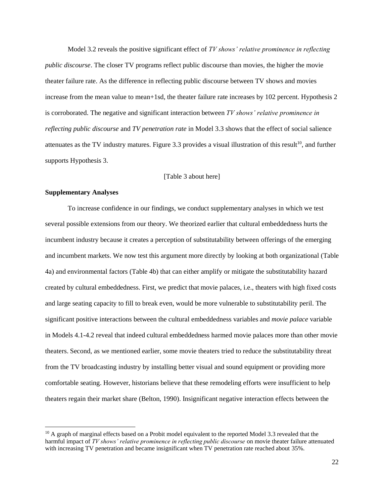Model 3.2 reveals the positive significant effect of *TV shows' relative prominence in reflecting public discourse*. The closer TV programs reflect public discourse than movies, the higher the movie theater failure rate. As the difference in reflecting public discourse between TV shows and movies increase from the mean value to mean+1sd, the theater failure rate increases by 102 percent. Hypothesis 2 is corroborated. The negative and significant interaction between *TV shows' relative prominence in reflecting public discourse* and *TV penetration rate* in Model 3.3 shows that the effect of social salience attenuates as the TV industry matures. Figure 3.3 provides a visual illustration of this result<sup>10</sup>, and further supports Hypothesis 3.

## [Table 3 about here]

### **Supplementary Analyses**

To increase confidence in our findings, we conduct supplementary analyses in which we test several possible extensions from our theory. We theorized earlier that cultural embeddedness hurts the incumbent industry because it creates a perception of substitutability between offerings of the emerging and incumbent markets. We now test this argument more directly by looking at both organizational (Table 4a) and environmental factors (Table 4b) that can either amplify or mitigate the substitutability hazard created by cultural embeddedness. First, we predict that movie palaces, i.e., theaters with high fixed costs and large seating capacity to fill to break even, would be more vulnerable to substitutability peril. The significant positive interactions between the cultural embeddedness variables and *movie palace* variable in Models 4.1-4.2 reveal that indeed cultural embeddedness harmed movie palaces more than other movie theaters. Second, as we mentioned earlier, some movie theaters tried to reduce the substitutability threat from the TV broadcasting industry by installing better visual and sound equipment or providing more comfortable seating. However, historians believe that these remodeling efforts were insufficient to help theaters regain their market share (Belton, 1990). Insignificant negative interaction effects between the

<sup>&</sup>lt;sup>10</sup> A graph of marginal effects based on a Probit model equivalent to the reported Model 3.3 revealed that the harmful impact of *TV shows' relative prominence in reflecting public discourse* on movie theater failure attenuated with increasing TV penetration and became insignificant when TV penetration rate reached about 35%.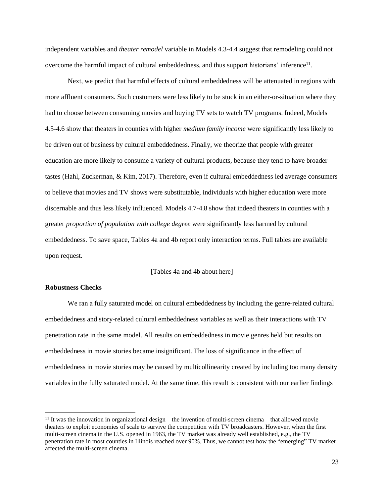independent variables and *theater remodel* variable in Models 4.3-4.4 suggest that remodeling could not overcome the harmful impact of cultural embeddedness, and thus support historians' inference<sup>11</sup>.

Next, we predict that harmful effects of cultural embeddedness will be attenuated in regions with more affluent consumers. Such customers were less likely to be stuck in an either-or-situation where they had to choose between consuming movies and buying TV sets to watch TV programs. Indeed, Models 4.5-4.6 show that theaters in counties with higher *medium family income* were significantly less likely to be driven out of business by cultural embeddedness. Finally, we theorize that people with greater education are more likely to consume a variety of cultural products, because they tend to have broader tastes (Hahl, Zuckerman, & Kim, 2017). Therefore, even if cultural embeddedness led average consumers to believe that movies and TV shows were substitutable, individuals with higher education were more discernable and thus less likely influenced. Models 4.7-4.8 show that indeed theaters in counties with a greater *proportion of population with college degree* were significantly less harmed by cultural embeddedness. To save space, Tables 4a and 4b report only interaction terms. Full tables are available upon request.

## [Tables 4a and 4b about here]

# **Robustness Checks**

We ran a fully saturated model on cultural embeddedness by including the genre-related cultural embeddedness and story-related cultural embeddedness variables as well as their interactions with TV penetration rate in the same model. All results on embeddedness in movie genres held but results on embeddedness in movie stories became insignificant. The loss of significance in the effect of embeddedness in movie stories may be caused by multicollinearity created by including too many density variables in the fully saturated model. At the same time, this result is consistent with our earlier findings

 $11$  It was the innovation in organizational design – the invention of multi-screen cinema – that allowed movie theaters to exploit economies of scale to survive the competition with TV broadcasters. However, when the first multi-screen cinema in the U.S. opened in 1963, the TV market was already well established, e.g., the TV penetration rate in most counties in Illinois reached over 90%. Thus, we cannot test how the "emerging" TV market affected the multi-screen cinema.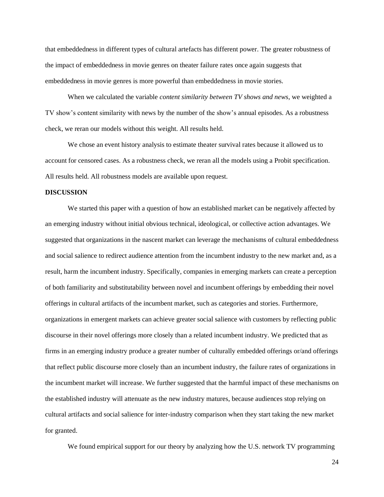that embeddedness in different types of cultural artefacts has different power. The greater robustness of the impact of embeddedness in movie genres on theater failure rates once again suggests that embeddedness in movie genres is more powerful than embeddedness in movie stories.

When we calculated the variable *content similarity between TV shows and news*, we weighted a TV show's content similarity with news by the number of the show's annual episodes. As a robustness check, we reran our models without this weight. All results held.

We chose an event history analysis to estimate theater survival rates because it allowed us to account for censored cases. As a robustness check, we reran all the models using a Probit specification. All results held. All robustness models are available upon request.

#### **DISCUSSION**

We started this paper with a question of how an established market can be negatively affected by an emerging industry without initial obvious technical, ideological, or collective action advantages. We suggested that organizations in the nascent market can leverage the mechanisms of cultural embeddedness and social salience to redirect audience attention from the incumbent industry to the new market and, as a result, harm the incumbent industry. Specifically, companies in emerging markets can create a perception of both familiarity and substitutability between novel and incumbent offerings by embedding their novel offerings in cultural artifacts of the incumbent market, such as categories and stories. Furthermore, organizations in emergent markets can achieve greater social salience with customers by reflecting public discourse in their novel offerings more closely than a related incumbent industry. We predicted that as firms in an emerging industry produce a greater number of culturally embedded offerings or/and offerings that reflect public discourse more closely than an incumbent industry, the failure rates of organizations in the incumbent market will increase. We further suggested that the harmful impact of these mechanisms on the established industry will attenuate as the new industry matures, because audiences stop relying on cultural artifacts and social salience for inter-industry comparison when they start taking the new market for granted.

We found empirical support for our theory by analyzing how the U.S. network TV programming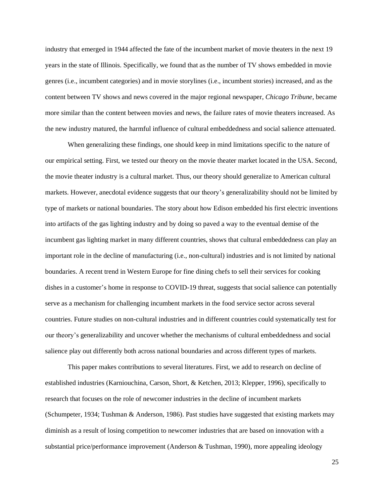industry that emerged in 1944 affected the fate of the incumbent market of movie theaters in the next 19 years in the state of Illinois. Specifically, we found that as the number of TV shows embedded in movie genres (i.e., incumbent categories) and in movie storylines (i.e., incumbent stories) increased, and as the content between TV shows and news covered in the major regional newspaper, *Chicago Tribune*, became more similar than the content between movies and news, the failure rates of movie theaters increased. As the new industry matured, the harmful influence of cultural embeddedness and social salience attenuated.

When generalizing these findings, one should keep in mind limitations specific to the nature of our empirical setting. First, we tested our theory on the movie theater market located in the USA. Second, the movie theater industry is a cultural market. Thus, our theory should generalize to American cultural markets. However, anecdotal evidence suggests that our theory's generalizability should not be limited by type of markets or national boundaries. The story about how Edison embedded his first electric inventions into artifacts of the gas lighting industry and by doing so paved a way to the eventual demise of the incumbent gas lighting market in many different countries, shows that cultural embeddedness can play an important role in the decline of manufacturing (i.e., non-cultural) industries and is not limited by national boundaries. A recent trend in Western Europe for fine dining chefs to sell their services for cooking dishes in a customer's home in response to COVID-19 threat, suggests that social salience can potentially serve as a mechanism for challenging incumbent markets in the food service sector across several countries. Future studies on non-cultural industries and in different countries could systematically test for our theory's generalizability and uncover whether the mechanisms of cultural embeddedness and social salience play out differently both across national boundaries and across different types of markets.

This paper makes contributions to several literatures. First, we add to research on decline of established industries (Karniouchina, Carson, Short, & Ketchen, 2013; Klepper, 1996), specifically to research that focuses on the role of newcomer industries in the decline of incumbent markets (Schumpeter, 1934; Tushman & Anderson, 1986). Past studies have suggested that existing markets may diminish as a result of losing competition to newcomer industries that are based on innovation with a substantial price/performance improvement (Anderson & Tushman, 1990), more appealing ideology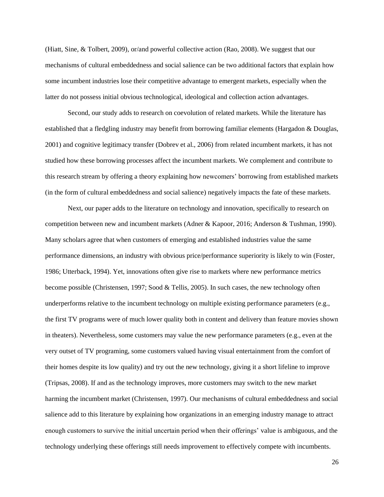(Hiatt, Sine, & Tolbert, 2009), or/and powerful collective action (Rao, 2008). We suggest that our mechanisms of cultural embeddedness and social salience can be two additional factors that explain how some incumbent industries lose their competitive advantage to emergent markets, especially when the latter do not possess initial obvious technological, ideological and collection action advantages.

Second, our study adds to research on coevolution of related markets. While the literature has established that a fledgling industry may benefit from borrowing familiar elements (Hargadon & Douglas, 2001) and cognitive legitimacy transfer (Dobrev et al., 2006) from related incumbent markets, it has not studied how these borrowing processes affect the incumbent markets. We complement and contribute to this research stream by offering a theory explaining how newcomers' borrowing from established markets (in the form of cultural embeddedness and social salience) negatively impacts the fate of these markets.

Next, our paper adds to the literature on technology and innovation, specifically to research on competition between new and incumbent markets (Adner & Kapoor, 2016; Anderson & Tushman, 1990). Many scholars agree that when customers of emerging and established industries value the same performance dimensions, an industry with obvious price/performance superiority is likely to win (Foster, 1986; Utterback, 1994). Yet, innovations often give rise to markets where new performance metrics become possible (Christensen, 1997; Sood & Tellis, 2005). In such cases, the new technology often underperforms relative to the incumbent technology on multiple existing performance parameters (e.g., the first TV programs were of much lower quality both in content and delivery than feature movies shown in theaters). Nevertheless, some customers may value the new performance parameters (e.g., even at the very outset of TV programing, some customers valued having visual entertainment from the comfort of their homes despite its low quality) and try out the new technology, giving it a short lifeline to improve (Tripsas, 2008). If and as the technology improves, more customers may switch to the new market harming the incumbent market (Christensen, 1997). Our mechanisms of cultural embeddedness and social salience add to this literature by explaining how organizations in an emerging industry manage to attract enough customers to survive the initial uncertain period when their offerings' value is ambiguous, and the technology underlying these offerings still needs improvement to effectively compete with incumbents.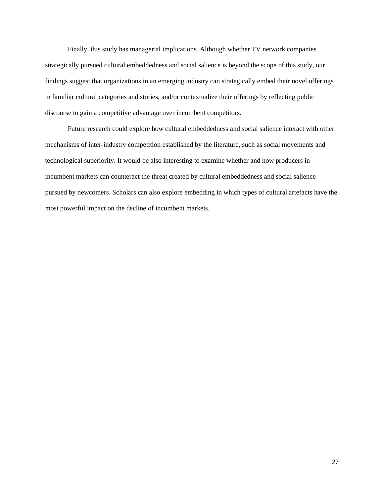Finally, this study has managerial implications. Although whether TV network companies strategically pursued cultural embeddedness and social salience is beyond the scope of this study, our findings suggest that organizations in an emerging industry can strategically embed their novel offerings in familiar cultural categories and stories, and/or contextualize their offerings by reflecting public discourse to gain a competitive advantage over incumbent competitors.

Future research could explore how cultural embeddedness and social salience interact with other mechanisms of inter-industry competition established by the literature, such as social movements and technological superiority. It would be also interesting to examine whether and how producers in incumbent markets can counteract the threat created by cultural embeddedness and social salience pursued by newcomers. Scholars can also explore embedding in which types of cultural artefacts have the most powerful impact on the decline of incumbent markets.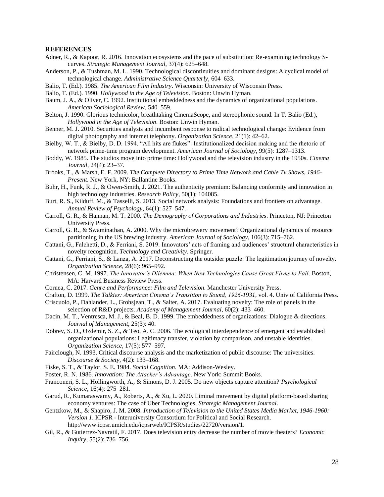#### **REFERENCES**

- Adner, R., & Kapoor, R. 2016. Innovation ecosystems and the pace of substitution: Re-examining technology Scurves. *Strategic Management Journal*, 37(4): 625–648.
- Anderson, P., & Tushman, M. L. 1990. Technological discontinuities and dominant designs: A cyclical model of technological change. *Administrative Science Quarterly*, 604–633.
- Balio, T. (Ed.). 1985. *The American Film Industry*. Wisconsin: University of Wisconsin Press.
- Balio, T. (Ed.). 1990. *Hollywood in the Age of Television*. Boston: Unwin Hyman.
- Baum, J. A., & Oliver, C. 1992. Institutional embeddedness and the dynamics of organizational populations. *American Sociological Review*, 540–559.
- Belton, J. 1990. Glorious technicolor, breathtaking CinemaScope, and stereophonic sound. In T. Balio (Ed.), *Hollywood in the Age of Television*. Boston: Unwin Hyman.
- Benner, M. J. 2010. Securities analysts and incumbent response to radical technological change: Evidence from digital photography and internet telephony. *Organization Science*, 21(1): 42–62.
- Bielby, W. T., & Bielby, D. D. 1994. "All hits are flukes": Institutionalized decision making and the rhetoric of network prime-time program development. *American Journal of Sociology*, 99(5): 1287–1313.
- Boddy, W. 1985. The studios move into prime time: Hollywood and the television industry in the 1950s. *Cinema Journal*, 24(4): 23–37.
- Brooks, T., & Marsh, E. F. 2009. *The Complete Directory to Prime Time Network and Cable Tv Shows, 1946- Present*. New York, NY: Ballantine Books.
- Buhr, H., Funk, R. J., & Owen-Smith, J. 2021. The authenticity premium: Balancing conformity and innovation in high technology industries. *Research Policy*, 50(1): 104085.
- Burt, R. S., Kilduff, M., & Tasselli, S. 2013. Social network analysis: Foundations and frontiers on advantage. *Annual Review of Psychology*, 64(1): 527–547.
- Carroll, G. R., & Hannan, M. T. 2000. *The Demography of Corporations and Industries*. Princeton, NJ: Princeton University Press.
- Carroll, G. R., & Swaminathan, A. 2000. Why the microbrewery movement? Organizational dynamics of resource partitioning in the US brewing industry. *American Journal of Sociology*, 106(3): 715–762.
- Cattani, G., Falchetti, D., & Ferriani, S. 2019. Innovators' acts of framing and audiences' structural characteristics in novelty recognition. *Technology and Creativity*. Springer.
- Cattani, G., Ferriani, S., & Lanza, A. 2017. Deconstructing the outsider puzzle: The legitimation journey of novelty. *Organization Science*, 28(6): 965–992.
- Christensen, C. M. 1997. *The Innovator's Dilemma: When New Technologies Cause Great Firms to Fail*. Boston, MA: Harvard Business Review Press.
- Cornea, C. 2017. *Genre and Performance: Film and Television*. Manchester University Press.
- Crafton, D. 1999. *The Talkies: American Cinema's Transition to Sound, 1926-1931*, vol. 4. Univ of California Press.
- Criscuolo, P., Dahlander, L., Grohsjean, T., & Salter, A. 2017. Evaluating novelty: The role of panels in the selection of R&D projects. *Academy of Management Journal*, 60(2): 433–460.
- Dacin, M. T., Ventresca, M. J., & Beal, B. D. 1999. The embeddedness of organizations: Dialogue & directions. *Journal of Management*, 25(3): 40.
- Dobrev, S. D., Ozdemir, S. Z., & Teo, A. C. 2006. The ecological interdependence of emergent and established organizational populations: Legitimacy transfer, violation by comparison, and unstable identities. *Organization Science*, 17(5): 577–597.
- Fairclough, N. 1993. Critical discourse analysis and the marketization of public discourse: The universities. *Discourse & Society*, 4(2): 133–168.
- Fiske, S. T., & Taylor, S. E. 1984. *Social Cognition*. MA: Addison-Wesley.
- Foster, R. N. 1986. *Innovation: The Attacker's Advantage*. New York: Summit Books.
- Franconeri, S. L., Hollingworth, A., & Simons, D. J. 2005. Do new objects capture attention? *Psychological Science*, 16(4): 275–281.
- Garud, R., Kumaraswamy, A., Roberts, A., & Xu, L. 2020. Liminal movement by digital platform-based sharing economy ventures: The case of Uber Technologies. *Strategic Management Journal*.
- Gentzkow, M., & Shapiro, J. M. 2008. *Introduction of Television to the United States Media Market, 1946-1960: Version 1*. ICPSR - Interuniversity Consortium for Political and Social Research. http://www.icpsr.umich.edu/icpsrweb/ICPSR/studies/22720/version/1.
- Gil, R., & Gutierrez-Navratil, F. 2017. Does television entry decrease the number of movie theaters? *Economic Inquiry*, 55(2): 736–756.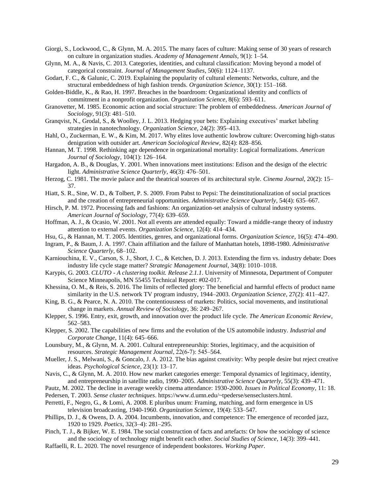Giorgi, S., Lockwood, C., & Glynn, M. A. 2015. The many faces of culture: Making sense of 30 years of research on culture in organization studies. *Academy of Management Annals*, 9(1): 1–54.

- Glynn, M. A., & Navis, C. 2013. Categories, identities, and cultural classification: Moving beyond a model of categorical constraint. *Journal of Management Studies*, 50(6): 1124–1137.
- Godart, F. C., & Galunic, C. 2019. Explaining the popularity of cultural elements: Networks, culture, and the structural embeddedness of high fashion trends. *Organization Science*, 30(1): 151–168.
- Golden-Biddle, K., & Rao, H. 1997. Breaches in the boardroom: Organizational identity and conflicts of commitment in a nonprofit organization. *Organization Science*, 8(6): 593–611.
- Granovetter, M. 1985. Economic action and social structure: The problem of embeddedness. *American Journal of Sociology*, 91(3): 481–510.
- Granqvist, N., Grodal, S., & Woolley, J. L. 2013. Hedging your bets: Explaining executives' market labeling strategies in nanotechnology. *Organization Science*, 24(2): 395–413.
- Hahl, O., Zuckerman, E. W., & Kim, M. 2017. Why elites love authentic lowbrow culture: Overcoming high-status denigration with outsider art. *American Sociological Review*, 82(4): 828–856.
- Hannan, M. T. 1998. Rethinking age dependence in organizational mortality: Logical formalizations. *American Journal of Sociology*, 104(1): 126–164.
- Hargadon, A. B., & Douglas, Y. 2001. When innovations meet institutions: Edison and the design of the electric light. *Administrative Science Quarterly*, 46(3): 476–501.
- Herzog, C. 1981. The movie palace and the theatrical sources of its architectural style. *Cinema Journal*, 20(2): 15– 37.
- Hiatt, S. R., Sine, W. D., & Tolbert, P. S. 2009. From Pabst to Pepsi: The deinstitutionalization of social practices and the creation of entrepreneurial opportunities. *Administrative Science Quarterly*, 54(4): 635–667.
- Hirsch, P. M. 1972. Processing fads and fashions: An organization-set analysis of cultural industry systems. *American Journal of Sociology*, 77(4): 639–659.
- Hoffman, A. J., & Ocasio, W. 2001. Not all events are attended equally: Toward a middle-range theory of industry attention to external events. *Organization Science*, 12(4): 414–434.
- Hsu, G., & Hannan, M. T. 2005. Identities, genres, and organizational forms. *Organization Science*, 16(5): 474–490.
- Ingram, P., & Baum, J. A. 1997. Chain affiliation and the failure of Manhattan hotels, 1898-1980. *Administrative Science Quarterly*, 68–102.
- Karniouchina, E. V., Carson, S. J., Short, J. C., & Ketchen, D. J. 2013. Extending the firm vs. industry debate: Does industry life cycle stage matter? *Strategic Management Journal*, 34(8): 1010–1018.
- Karypis, G. 2003. *CLUTO - A clustering toolkit. Release 2.1.1*. University of Minnesota, Department of Computer Science Minneapolis, MN 55455 Technical Report: #02-017.
- Khessina, O. M., & Reis, S. 2016. The limits of reflected glory: The beneficial and harmful effects of product name similarity in the U.S. network TV program industry, 1944–2003. *Organization Science*, 27(2): 411–427.
- King, B. G., & Pearce, N. A. 2010. The contentiousness of markets: Politics, social movements, and institutional change in markets. *Annual Review of Sociology*, 36: 249–267.
- Klepper, S. 1996. Entry, exit, growth, and innovation over the product life cycle. *The American Economic Review*, 562–583.
- Klepper, S. 2002. The capabilities of new firms and the evolution of the US automobile industry. *Industrial and Corporate Change*, 11(4): 645–666.
- Lounsbury, M., & Glynn, M. A. 2001. Cultural entrepreneurship: Stories, legitimacy, and the acquisition of resources. *Strategic Management Journal*, 22(6‐7): 545–564.
- Mueller, J. S., Melwani, S., & Goncalo, J. A. 2012. The bias against creativity: Why people desire but reject creative ideas. *Psychological Science*, 23(1): 13–17.
- Navis, C., & Glynn, M. A. 2010. How new market categories emerge: Temporal dynamics of legitimacy, identity, and entrepreneurship in satellite radio, 1990–2005. *Administrative Science Quarterly*, 55(3): 439–471.
- Pautz, M. 2002. The decline in average weekly cinema attendance: 1930-2000. *Issues in Political Economy*, 11: 18.
- Pedersen, T. 2003. *Sense cluster techniques*. https://www.d.umn.edu/~tpederse/senseclusters.html.
- Perretti, F., Negro, G., & Lomi, A. 2008. E pluribus unum: Framing, matching, and form emergence in US television broadcasting, 1940-1960. *Organization Science*, 19(4): 533–547.
- Phillips, D. J., & Owens, D. A. 2004. Incumbents, innovation, and competence: The emergence of recorded jazz, 1920 to 1929. *Poetics*, 32(3–4): 281–295.
- Pinch, T. J., & Bijker, W. E. 1984. The social construction of facts and artefacts: Or how the sociology of science and the sociology of technology might benefit each other. *Social Studies of Science*, 14(3): 399–441.
- Raffaelli, R. L. 2020. The novel resurgence of independent bookstores. *Working Paper*.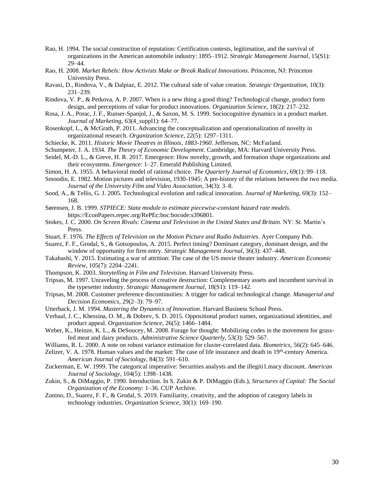- Rao, H. 1994. The social construction of reputation: Certification contests, legitimation, and the survival of organizations in the American automobile industry: 1895–1912. *Strategic Management Journal*, 15(S1): 29–44.
- Rao, H. 2008. *Market Rebels: How Activists Make or Break Radical Innovations*. Princeton, NJ: Princeton University Press.
- Ravasi, D., Rindova, V., & Dalpiaz, E. 2012. The cultural side of value creation. *Strategic Organization*, 10(3): 231–239.
- Rindova, V. P., & Petkova, A. P. 2007. When is a new thing a good thing? Technological change, product form design, and perceptions of value for product innovations. *Organization Science*, 18(2): 217–232.
- Rosa, J. A., Porac, J. F., Runser-Spanjol, J., & Saxon, M. S. 1999. Sociocognitive dynamics in a product market. *Journal of Marketing*, 63(4\_suppl1): 64–77.
- Rosenkopf, L., & McGrath, P. 2011. Advancing the conceptualization and operationalization of novelty in organizational research. *Organization Science*, 22(5): 1297–1311.
- Schiecke, K. 2011. *Historic Movie Theatres in Illinois, 1883-1960*. Jefferson, NC: McFarland.
- Schumpeter, J. A. 1934. *The Theory of Economic Development*. Cambridge, MA: Harvard University Press.
- Seidel, M.-D. L., & Greve, H. R. 2017. Emergence: How novelty, growth, and formation shape organizations and their ecosystems. *Emergence*: 1–27. Emerald Publishing Limited.
- Simon, H. A. 1955. A behavioral model of rational choice. *The Quarterly Journal of Economics*, 69(1): 99–118.
- Smoodin, E. 1982. Motion pictures and television, 1930-1945: A pre-history of the relations between the two media. *Journal of the University Film and Video Association*, 34(3): 3–8.
- Sood, A., & Tellis, G. J. 2005. Technological evolution and radical innovation. *Journal of Marketing*, 69(3): 152– 168.
- Sørensen, J. B. 1999. *STPIECE: Stata module to estimate piecewise-constant hazard rate models*. https://EconPapers.repec.org/RePEc:boc:bocode:s396801.
- Stokes, J. C. 2000. *On Screen Rivals: Cinema and Television in the United States and Britain*. NY: St. Martin's Press.
- Stuart, F. 1976. *The Effects of Television on the Motion Picture and Radio Industries*. Ayer Company Pub.
- Suarez, F. F., Grodal, S., & Gotsopoulos, A. 2015. Perfect timing? Dominant category, dominant design, and the window of opportunity for firm entry. *Strategic Management Journal*, 36(3): 437–448.
- Takahashi, Y. 2015. Estimating a war of attrition: The case of the US movie theater industry. *American Economic Review*, 105(7): 2204–2241.
- Thompson, K. 2003. *Storytelling in Film and Television*. Harvard University Press.
- Tripsas, M. 1997. Unraveling the process of creative destruction: Complementary assets and incumbent survival in the typesetter industry. *Strategic Management Journal*, 18(S1): 119–142.
- Tripsas, M. 2008. Customer preference discontinuities: A trigger for radical technological change. *Managerial and Decision Economics*, 29(2–3): 79–97.
- Utterback, J. M. 1994. *Mastering the Dynamics of Innovation*. Harvard Business School Press.
- Verhaal, J. C., Khessina, O. M., & Dobrev, S. D. 2015. Oppositional product names, organizational identities, and product appeal. *Organization Science*, 26(5): 1466–1484.
- Weber, K., Heinze, K. L., & DeSoucey, M. 2008. Forage for thought: Mobilizing codes in the movement for grassfed meat and dairy products. *Administrative Science Quarterly*, 53(3): 529–567.
- Williams, R. L. 2000. A note on robust variance estimation for cluster-correlated data. *Biometrics*, 56(2): 645–646.
- Zelizer, V. A. 1978. Human values and the market: The case of life insurance and death in 19<sup>th</sup>-century America. *American Journal of Sociology*, 84(3): 591–610.
- Zuckerman, E. W. 1999. The categorical imperative: Securities analysts and the illegiti1.macy discount. *American Journal of Sociology*, 104(5): 1398–1438.
- Zukin, S., & DiMaggio, P. 1990. Introduction. In S. Zukin & P. DiMaggio (Eds.), *Structures of Capital: The Social Organization of the Economy*: 1–36. CUP Archive.
- Zunino, D., Suarez, F. F., & Grodal, S. 2019. Familiarity, creativity, and the adoption of category labels in technology industries. *Organization Science*, 30(1): 169–190.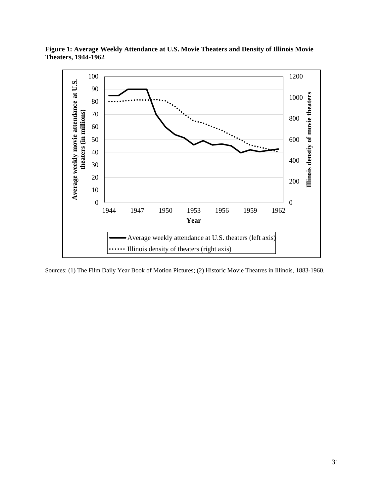

**Figure 1: Average Weekly Attendance at U.S. Movie Theaters and Density of Illinois Movie Theaters, 1944-1962**

Sources: (1) The Film Daily Year Book of Motion Pictures; (2) Historic Movie Theatres in Illinois, 1883-1960.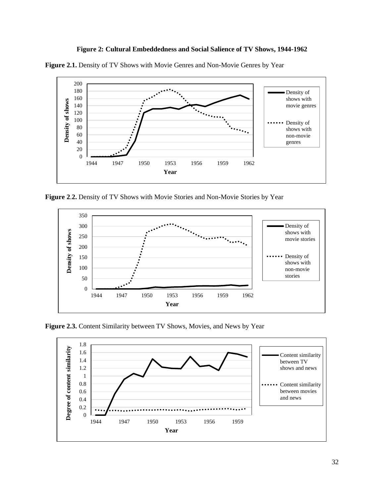





**Figure 2**.**2.** Density of TV Shows with Movie Stories and Non-Movie Stories by Year



**Figure 2.3.** Content Similarity between TV Shows, Movies, and News by Year

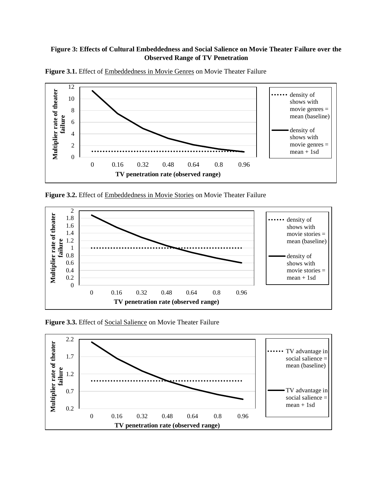# **Figure 3: Effects of Cultural Embeddedness and Social Salience on Movie Theater Failure over the Observed Range of TV Penetration**



Figure 3.1. Effect of **Embeddedness in Movie Genres** on Movie Theater Failure

**Figure 3.2.** Effect of Embeddedness in Movie Stories on Movie Theater Failure



**Figure 3.3.** Effect of Social Salience on Movie Theater Failure

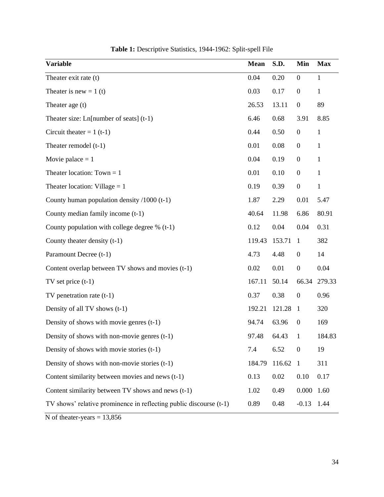| <b>Variable</b>                                                    | <b>Mean</b> | S.D.   | Min              | <b>Max</b>   |
|--------------------------------------------------------------------|-------------|--------|------------------|--------------|
| Theater exit rate (t)                                              | 0.04        | 0.20   | $\boldsymbol{0}$ | 1            |
| Theater is new = $1(t)$                                            | 0.03        | 0.17   | $\boldsymbol{0}$ | 1            |
| Theater age (t)                                                    | 26.53       | 13.11  | $\boldsymbol{0}$ | 89           |
| Theater size: $Ln[number$ of seats] (t-1)                          | 6.46        | 0.68   | 3.91             | 8.85         |
| Circuit theater = $1$ (t-1)                                        | 0.44        | 0.50   | $\boldsymbol{0}$ | $\mathbf{1}$ |
| Theater remodel $(t-1)$                                            | 0.01        | 0.08   | $\boldsymbol{0}$ | $\mathbf{1}$ |
| Movie palace $= 1$                                                 | 0.04        | 0.19   | $\boldsymbol{0}$ | $\mathbf{1}$ |
| Theater location: $Town = 1$                                       | 0.01        | 0.10   | $\boldsymbol{0}$ | $\mathbf{1}$ |
| Theater location: Village $= 1$                                    | 0.19        | 0.39   | $\boldsymbol{0}$ | $\mathbf{1}$ |
| County human population density $/1000$ (t-1)                      | 1.87        | 2.29   | 0.01             | 5.47         |
| County median family income (t-1)                                  | 40.64       | 11.98  | 6.86             | 80.91        |
| County population with college degree $% (t-1)$                    | 0.12        | 0.04   | 0.04             | 0.31         |
| County theater density (t-1)                                       | 119.43      | 153.71 | $\mathbf{1}$     | 382          |
| Paramount Decree (t-1)                                             | 4.73        | 4.48   | $\boldsymbol{0}$ | 14           |
| Content overlap between TV shows and movies (t-1)                  | 0.02        | 0.01   | $\boldsymbol{0}$ | 0.04         |
| TV set price $(t-1)$                                               | 167.11      | 50.14  | 66.34            | 279.33       |
| $TV$ penetration rate $(t-1)$                                      | 0.37        | 0.38   | $\boldsymbol{0}$ | 0.96         |
| Density of all TV shows (t-1)                                      | 192.21      | 121.28 | $\mathbf{1}$     | 320          |
| Density of shows with movie genres $(t-1)$                         | 94.74       | 63.96  | $\boldsymbol{0}$ | 169          |
| Density of shows with non-movie genres $(t-1)$                     | 97.48       | 64.43  | $\mathbf{1}$     | 184.83       |
| Density of shows with movie stories (t-1)                          | 7.4         | 6.52   | $\boldsymbol{0}$ | 19           |
| Density of shows with non-movie stories $(t-1)$                    | 184.79      | 116.62 | $\mathbf{1}$     | 311          |
| Content similarity between movies and news (t-1)                   | 0.13        | 0.02   | 0.10             | 0.17         |
| Content similarity between TV shows and news (t-1)                 | 1.02        | 0.49   | 0.000            | 1.60         |
| TV shows' relative prominence in reflecting public discourse (t-1) | 0.89        | 0.48   | $-0.13$          | 1.44         |

N of theater-years  $= 13,856$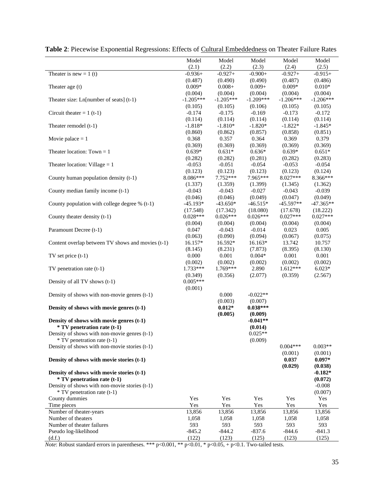|                                                   | Model       | Model       | Model       | Model       | Model       |
|---------------------------------------------------|-------------|-------------|-------------|-------------|-------------|
|                                                   | (2.1)       | (2.2)       | (2.3)       | (2.4)       | (2.5)       |
| Theater is new = $1(t)$                           | $-0.936+$   | $-0.927+$   | $-0.900+$   | $-0.927+$   | $-0.915+$   |
|                                                   | (0.487)     | (0.490)     | (0.490)     | (0.487)     | (0.486)     |
| Theater age (t)                                   | $0.009*$    | $0.008 +$   | $0.009 +$   | $0.009*$    | $0.010*$    |
|                                                   | (0.004)     | (0.004)     | (0.004)     | (0.004)     | (0.004)     |
| Theater size: $Ln[number$ of seats] (t-1)         | $-1.205***$ | $-1.205***$ | $-1.209***$ | $-1.206***$ | $-1.206***$ |
|                                                   | (0.105)     | (0.105)     | (0.106)     | (0.105)     | (0.105)     |
| Circuit theater = $1$ (t-1)                       | $-0.174$    | $-0.175$    | $-0.169$    | $-0.173$    | $-0.172$    |
|                                                   | (0.114)     | (0.114)     | (0.114)     | (0.114)     | (0.114)     |
| Theater remodel (t-1)                             | $-1.818*$   | $-1.810*$   | $-1.820*$   | $-1.822*$   | $-1.845*$   |
|                                                   | (0.860)     | (0.862)     | (0.857)     | (0.858)     | (0.851)     |
| Movie palace $= 1$                                | 0.368       | 0.357       | 0.364       | 0.369       | 0.379       |
|                                                   | (0.369)     | (0.369)     | (0.369)     | (0.369)     | (0.369)     |
| Theater location: Town $= 1$                      | $0.639*$    | $0.631*$    | $0.636*$    | $0.639*$    | $0.651*$    |
|                                                   | (0.282)     | (0.282)     | (0.281)     | (0.282)     | (0.283)     |
|                                                   |             |             |             |             |             |
| Theater location: Village $= 1$                   | $-0.053$    | $-0.051$    | $-0.054$    | $-0.053$    | $-0.054$    |
|                                                   | (0.123)     | (0.123)     | (0.123)     | (0.123)     | (0.124)     |
| County human population density (t-1)             | 8.086***    | 7.752***    | 7.965***    | 8.027***    | 8.366***    |
|                                                   | (1.337)     | (1.359)     | (1.399)     | (1.345)     | (1.362)     |
| County median family income (t-1)                 | $-0.043$    | $-0.043$    | $-0.027$    | $-0.043$    | $-0.039$    |
|                                                   | (0.046)     | (0.046)     | (0.049)     | (0.047)     | (0.049)     |
| County population with college degree % (t-1)     | $-45.193*$  | $-43.650*$  | $-46.515*$  | $-45.597**$ | $-47.365**$ |
|                                                   | (17.548)    | (17.342)    | (18.080)    | (17.678)    | (18.222)    |
| County theater density (t-1)                      | $0.028***$  | $0.026***$  | $0.026***$  | $0.027***$  | $0.027***$  |
|                                                   | (0.004)     | (0.004)     | (0.004)     | (0.004)     | (0.004)     |
| Paramount Decree (t-1)                            | 0.047       | $-0.043$    | $-0.014$    | 0.023       | 0.005       |
|                                                   | (0.063)     | (0.090)     | (0.094)     | (0.067)     | (0.075)     |
| Content overlap between TV shows and movies (t-1) | 16.157*     | 16.592*     | 16.163*     | 13.742      | 10.757      |
|                                                   | (8.145)     | (8.231)     | (7.873)     | (8.395)     | (8.130)     |
| $TV$ set price $(t-1)$                            | 0.000       | 0.001       | $0.004*$    | 0.001       | 0.001       |
|                                                   | (0.002)     | (0.002)     | (0.002)     | (0.002)     | (0.002)     |
| TV penetration rate $(t-1)$                       | 1.733***    | 1.769***    | 2.890       | $1.612***$  | $6.023*$    |
|                                                   | (0.349)     | (0.356)     | (2.077)     | (0.359)     | (2.567)     |
| Density of all TV shows (t-1)                     | $0.005***$  |             |             |             |             |
|                                                   | (0.001)     |             |             |             |             |
| Density of shows with non-movie genres (t-1)      |             | 0.000       | $-0.022**$  |             |             |
|                                                   |             | (0.003)     | (0.007)     |             |             |
| Density of shows with movie genres (t-1)          |             | $0.012*$    | $0.038***$  |             |             |
|                                                   |             | (0.005)     | (0.009)     |             |             |
| Density of shows with movie genres (t-1)          |             |             | $-0.041**$  |             |             |
| <i>*</i> TV penetration rate (t-1)                |             |             | (0.014)     |             |             |
| Density of shows with non-movie genres $(t-1)$    |             |             | $0.025**$   |             |             |
| * TV penetration rate (t-1)                       |             |             | (0.009)     |             |             |
| Density of shows with non-movie stories $(t-1)$   |             |             |             | $0.004***$  | $0.003**$   |
|                                                   |             |             |             | (0.001)     | (0.001)     |
| Density of shows with movie stories (t-1)         |             |             |             | 0.037       | $0.097*$    |
|                                                   |             |             |             | (0.029)     | (0.038)     |
| Density of shows with movie stories (t-1)         |             |             |             |             | $-0.182*$   |
| <i>*</i> TV penetration rate (t-1)                |             |             |             |             | (0.072)     |
| Density of shows with non-movie stories (t-1)     |             |             |             |             | $-0.008$    |
| * TV penetration rate (t-1)                       |             |             |             |             | (0.007)     |
| County dummies                                    | Yes         | Yes         | Yes         | Yes         | Yes         |
| Time pieces                                       | Yes         | Yes         | Yes         | Yes         | Yes         |
| Number of theater-years                           | 13,856      | 13,856      | 13,856      | 13,856      | 13,856      |
| Number of theaters                                | 1,058       | 1,058       | 1,058       | 1,058       | 1,058       |
| Number of theater failures                        | 593         | 593         | 593         | 593         | 593         |
| Pseudo log-likelihood                             | $-845.2$    | $-844.2$    | $-837.6$    | $-844.6$    | $-841.3$    |
| (d.f.)                                            | (122)       | (123)       | (125)       | (123)       | (125)       |
|                                                   |             |             |             |             |             |

|  |  | Table 2: Piecewise Exponential Regressions: Effects of Cultural Embeddedness on Theater Failure Rates |  |  |  |  |  |  |
|--|--|-------------------------------------------------------------------------------------------------------|--|--|--|--|--|--|
|  |  |                                                                                                       |  |  |  |  |  |  |

*Note*: Robust standard errors in parentheses. \*\*\*  $p<0.001$ , \*\*  $p<0.01$ , \*  $p<0.05$ , +  $p<0.1$ . Two-tailed tests.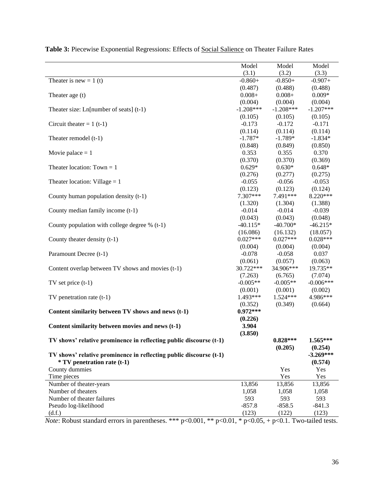|                                                                    | Model       | Model       | Model       |
|--------------------------------------------------------------------|-------------|-------------|-------------|
|                                                                    | (3.1)       | (3.2)       | (3.3)       |
| Theater is new = $1(t)$                                            | $-0.860+$   | $-0.850+$   | $-0.907+$   |
|                                                                    | (0.487)     | (0.488)     | (0.488)     |
| Theater age (t)                                                    | $0.008 +$   | $0.008 +$   | $0.009*$    |
|                                                                    | (0.004)     | (0.004)     | (0.004)     |
| Theater size: Ln[number of seats] $(t-1)$                          | $-1.208***$ | $-1.208***$ | $-1.207***$ |
|                                                                    | (0.105)     | (0.105)     | (0.105)     |
| Circuit theater = $1$ (t-1)                                        | $-0.173$    | $-0.172$    | $-0.171$    |
|                                                                    | (0.114)     | (0.114)     | (0.114)     |
| Theater remodel (t-1)                                              | $-1.787*$   | $-1.789*$   | $-1.834*$   |
|                                                                    | (0.848)     | (0.849)     | (0.850)     |
| Movie palace $= 1$                                                 | 0.353       | 0.355       | 0.370       |
|                                                                    | (0.370)     | (0.370)     | (0.369)     |
| Theater location: $Town = 1$                                       | $0.629*$    | $0.630*$    | $0.648*$    |
|                                                                    | (0.276)     | (0.277)     | (0.275)     |
| Theater location: Village $= 1$                                    | $-0.055$    | $-0.056$    | $-0.053$    |
|                                                                    | (0.123)     | (0.123)     | (0.124)     |
| County human population density (t-1)                              | 7.307***    | 7.491***    | 8.220***    |
|                                                                    | (1.320)     | (1.304)     | (1.388)     |
| County median family income (t-1)                                  | $-0.014$    | $-0.014$    | $-0.039$    |
|                                                                    | (0.043)     | (0.043)     | (0.048)     |
| County population with college degree $% (t-1)$                    | $-40.115*$  | $-40.700*$  | $-46.215*$  |
|                                                                    | (16.086)    | (16.132)    | (18.057)    |
| County theater density (t-1)                                       | $0.027***$  | $0.027***$  | $0.028***$  |
|                                                                    | (0.004)     | (0.004)     | (0.004)     |
| Paramount Decree (t-1)                                             | $-0.078$    | $-0.058$    | 0.037       |
|                                                                    | (0.061)     | (0.057)     | (0.063)     |
| Content overlap between TV shows and movies (t-1)                  | 30.722***   | 34.906***   | 19.735**    |
|                                                                    | (7.263)     | (6.765)     | (7.074)     |
| $TV$ set price $(t-1)$                                             | $-0.005**$  | $-0.005**$  | $-0.006***$ |
|                                                                    | (0.001)     | (0.001)     | (0.002)     |
| TV penetration rate $(t-1)$                                        | 1.493***    | $1.524***$  | 4.986***    |
|                                                                    | (0.352)     | (0.349)     | (0.664)     |
| Content similarity between TV shows and news (t-1)                 | $0.972***$  |             |             |
|                                                                    | (0.226)     |             |             |
|                                                                    | 3.904       |             |             |
| Content similarity between movies and news (t-1)                   |             |             |             |
|                                                                    | (3.850)     |             |             |
| TV shows' relative prominence in reflecting public discourse (t-1) |             | $0.828***$  | 1.565***    |
|                                                                    |             | (0.205)     | (0.254)     |
| TV shows' relative prominence in reflecting public discourse (t-1) |             |             | $-3.269***$ |
| <i>*</i> TV penetration rate (t-1)                                 |             |             | (0.574)     |
| County dummies                                                     |             | Yes         | Yes         |
| Time pieces                                                        |             | Yes         | Yes         |
| Number of theater-years                                            | 13,856      | 13,856      | 13,856      |
| Number of theaters                                                 | 1,058       | 1,058       | 1,058       |
| Number of theater failures                                         | 593         | 593         | 593         |
| Pseudo log-likelihood                                              | $-857.8$    | $-858.5$    | $-841.3$    |
| (d.f.)                                                             | (123)       | (122)       | (123)       |

Table 3: Piecewise Exponential Regressions: Effects of **Social Salience** on Theater Failure Rates

*Note*: Robust standard errors in parentheses. \*\*\* p<0.001, \*\* p<0.01, \* p<0.05, + p<0.1. Two-tailed tests.